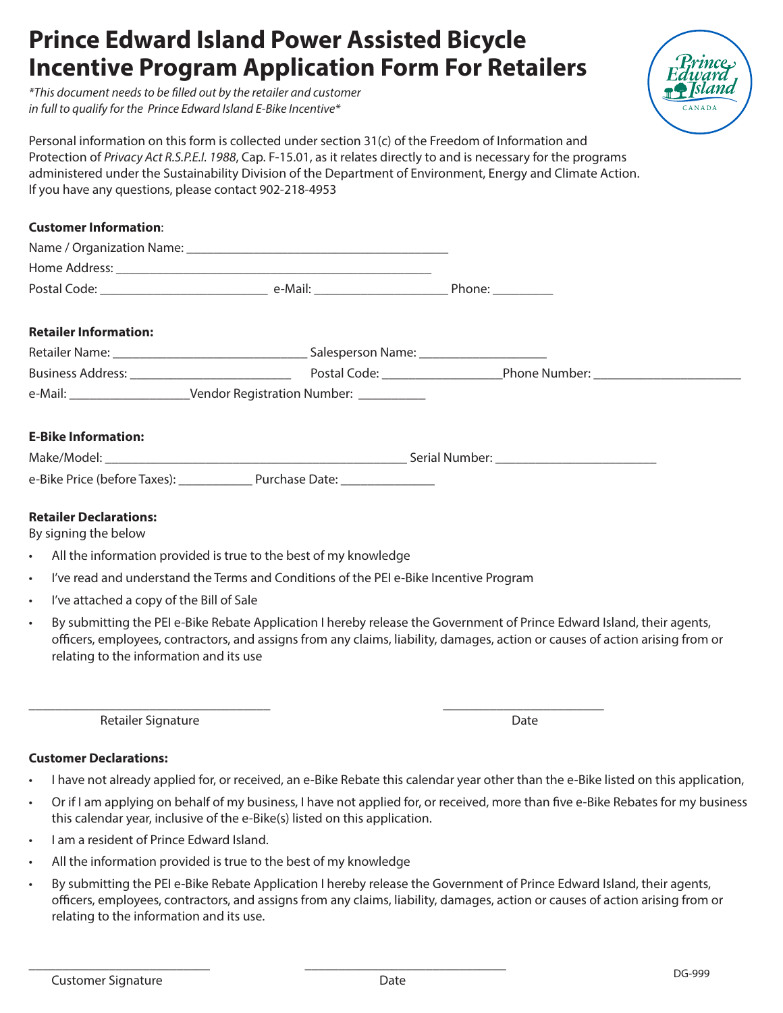## **Prince Edward Island Power Assisted Bicycle Incentive Program Application Form For Retailers**

*\*This document needs to be filled out by the retailer and customer in full to qualify for the Prince Edward Island E-Bike Incentive\**



Personal information on this form is collected under section 31(c) of the Freedom of Information and Protection of *Privacy Act R.S.P.E.I. 1988*, Cap. F-15.01, as it relates directly to and is necessary for the programs administered under the Sustainability Division of the Department of Environment, Energy and Climate Action. If you have any questions, please contact 902-218-4953

| <b>Customer Information:</b> |                                                                                                          |  |  |  |
|------------------------------|----------------------------------------------------------------------------------------------------------|--|--|--|
|                              |                                                                                                          |  |  |  |
|                              |                                                                                                          |  |  |  |
|                              |                                                                                                          |  |  |  |
| <b>Retailer Information:</b> |                                                                                                          |  |  |  |
|                              |                                                                                                          |  |  |  |
|                              | Business Address: 1986 March 2014 (Postal Code: 1997) Postal Code: 2008 Phone Number: 2008 Phone Number: |  |  |  |
|                              | e-Mail: _____________________________Vendor Registration Number: ______________                          |  |  |  |
| <b>E-Bike Information:</b>   |                                                                                                          |  |  |  |
|                              |                                                                                                          |  |  |  |
|                              |                                                                                                          |  |  |  |

### **Retailer Declarations:**

By signing the below

- All the information provided is true to the best of my knowledge
- I've read and understand the Terms and Conditions of the PEI e-Bike Incentive Program

\_\_\_\_\_\_\_\_\_\_\_\_\_\_\_\_\_\_\_\_\_\_\_\_\_\_\_\_\_\_\_\_\_\_\_\_ \_\_\_\_\_\_\_\_\_\_\_\_\_\_\_\_\_\_\_\_\_\_\_\_

- I've attached a copy of the Bill of Sale
- By submitting the PEI e-Bike Rebate Application I hereby release the Government of Prince Edward Island, their agents, officers, employees, contractors, and assigns from any claims, liability, damages, action or causes of action arising from or relating to the information and its use

Retailer Signature Date

#### **Customer Declarations:**

- I have not already applied for, or received, an e-Bike Rebate this calendar year other than the e-Bike listed on this application,
- Or if I am applying on behalf of my business, I have not applied for, or received, more than five e-Bike Rebates for my business this calendar year, inclusive of the e-Bike(s) listed on this application.
- I am a resident of Prince Edward Island.
- All the information provided is true to the best of my knowledge

\_\_\_\_\_\_\_\_\_\_\_\_\_\_\_\_\_\_\_\_\_\_\_\_\_\_\_ \_\_\_\_\_\_\_\_\_\_\_\_\_\_\_\_\_\_\_\_\_\_\_\_\_\_\_\_\_\_

• By submitting the PEI e-Bike Rebate Application I hereby release the Government of Prince Edward Island, their agents, officers, employees, contractors, and assigns from any claims, liability, damages, action or causes of action arising from or relating to the information and its use.